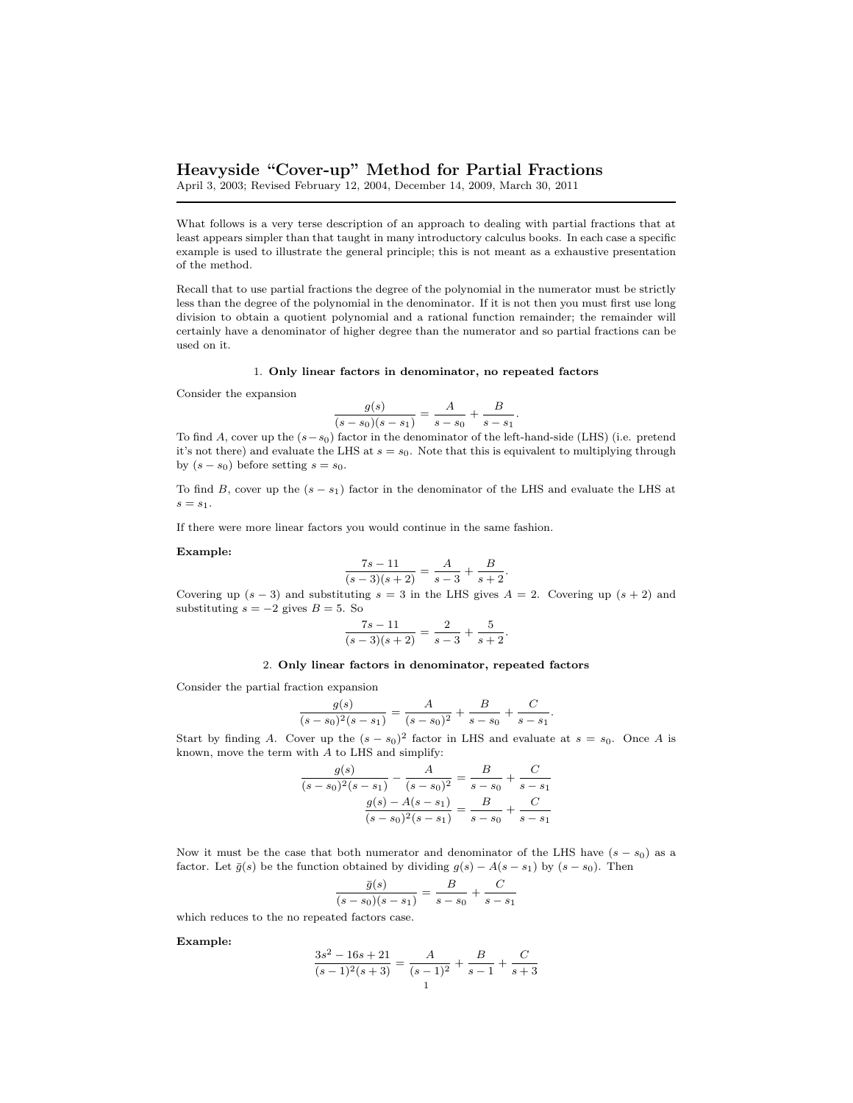# Heavyside "Cover-up" Method for Partial Fractions

April 3, 2003; Revised February 12, 2004, December 14, 2009, March 30, 2011

What follows is a very terse description of an approach to dealing with partial fractions that at least appears simpler than that taught in many introductory calculus books. In each case a specific example is used to illustrate the general principle; this is not meant as a exhaustive presentation of the method.

Recall that to use partial fractions the degree of the polynomial in the numerator must be strictly less than the degree of the polynomial in the denominator. If it is not then you must first use long division to obtain a quotient polynomial and a rational function remainder; the remainder will certainly have a denominator of higher degree than the numerator and so partial fractions can be used on it.

### 1. Only linear factors in denominator, no repeated factors

Consider the expansion

$$
\frac{g(s)}{(s-s_0)(s-s_1)} = \frac{A}{s-s_0} + \frac{B}{s-s_1}.
$$

To find A, cover up the  $(s-s_0)$  factor in the denominator of the left-hand-side (LHS) (i.e. pretend it's not there) and evaluate the LHS at  $s = s_0$ . Note that this is equivalent to multiplying through by  $(s - s_0)$  before setting  $s = s_0$ .

To find B, cover up the  $(s - s_1)$  factor in the denominator of the LHS and evaluate the LHS at  $s = s_1$ .

If there were more linear factors you would continue in the same fashion.

## Example:

$$
\frac{7s-11}{(s-3)(s+2)} = \frac{A}{s-3} + \frac{B}{s+2}.
$$

Covering up  $(s-3)$  and substituting  $s = 3$  in the LHS gives  $A = 2$ . Covering up  $(s + 2)$  and substituting  $s = -2$  gives  $B = 5$ . So

$$
\frac{7s-11}{(s-3)(s+2)} = \frac{2}{s-3} + \frac{5}{s+2}.
$$

### 2. Only linear factors in denominator, repeated factors

Consider the partial fraction expansion

$$
\frac{g(s)}{(s-s_0)^2(s-s_1)} = \frac{A}{(s-s_0)^2} + \frac{B}{s-s_0} + \frac{C}{s-s_1}.
$$

Start by finding A. Cover up the  $(s - s_0)^2$  factor in LHS and evaluate at  $s = s_0$ . Once A is known, move the term with A to LHS and simplify:

$$
\frac{g(s)}{(s-s_0)^2(s-s_1)} - \frac{A}{(s-s_0)^2} = \frac{B}{s-s_0} + \frac{C}{s-s_1}
$$

$$
\frac{g(s) - A(s-s_1)}{(s-s_0)^2(s-s_1)} = \frac{B}{s-s_0} + \frac{C}{s-s_1}
$$

Now it must be the case that both numerator and denominator of the LHS have  $(s - s_0)$  as a factor. Let  $\bar{g}(s)$  be the function obtained by dividing  $g(s) - A(s - s_1)$  by  $(s - s_0)$ . Then

$$
\frac{\bar{g}(s)}{(s-s_0)(s-s_1)} = \frac{B}{s-s_0} + \frac{C}{s-s_1}
$$

which reduces to the no repeated factors case.

Example:

$$
\frac{3s^2 - 16s + 21}{(s-1)^2(s+3)} = \frac{A}{(s-1)^2} + \frac{B}{s-1} + \frac{C}{s+3}
$$